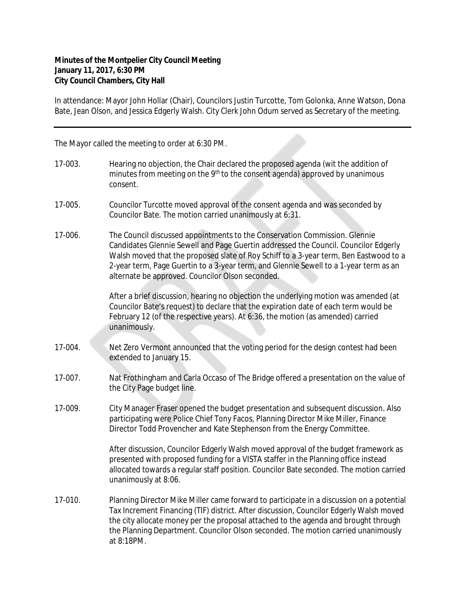## **Minutes of the Montpelier City Council Meeting January 11, 2017, 6:30 PM City Council Chambers, City Hall**

In attendance: Mayor John Hollar (Chair), Councilors Justin Turcotte, Tom Golonka, Anne Watson, Dona Bate, Jean Olson, and Jessica Edgerly Walsh. City Clerk John Odum served as Secretary of the meeting.

The Mayor called the meeting to order at 6:30 PM.

- 17-003. Hearing no objection, the Chair declared the proposed agenda (wit the addition of minutes from meeting on the 9<sup>th</sup> to the consent agenda) approved by unanimous consent.
- 17-005. Councilor Turcotte moved approval of the consent agenda and was seconded by Councilor Bate. The motion carried unanimously at 6:31.
- 17-006. The Council discussed appointments to the Conservation Commission. Glennie Candidates Glennie Sewell and Page Guertin addressed the Council. Councilor Edgerly Walsh moved that the proposed slate of Roy Schiff to a 3-year term, Ben Eastwood to a 2-year term, Page Guertin to a 3-year term, and Glennie Sewell to a 1-year term as an alternate be approved. Councilor Olson seconded.

After a brief discussion, hearing no objection the underlying motion was amended (at Councilor Bate's request) to declare that the expiration date of each term would be February 12 (of the respective years). At 6:36, the motion (as amended) carried unanimously.

- 17-004. Net Zero Vermont announced that the voting period for the design contest had been extended to January 15.
- 17-007. Nat Frothingham and Carla Occaso of The Bridge offered a presentation on the value of the City Page budget line.
- 17-009. City Manager Fraser opened the budget presentation and subsequent discussion. Also participating were Police Chief Tony Facos, Planning Director Mike Miller, Finance Director Todd Provencher and Kate Stephenson from the Energy Committee.

After discussion, Councilor Edgerly Walsh moved approval of the budget framework as presented with proposed funding for a VISTA staffer in the Planning office instead allocated towards a regular staff position. Councilor Bate seconded. The motion carried unanimously at 8:06.

17-010. Planning Director Mike Miller came forward to participate in a discussion on a potential Tax Increment Financing (TIF) district. After discussion, Councilor Edgerly Walsh moved the city allocate money per the proposal attached to the agenda and brought through the Planning Department. Councilor Olson seconded. The motion carried unanimously at 8:18PM.